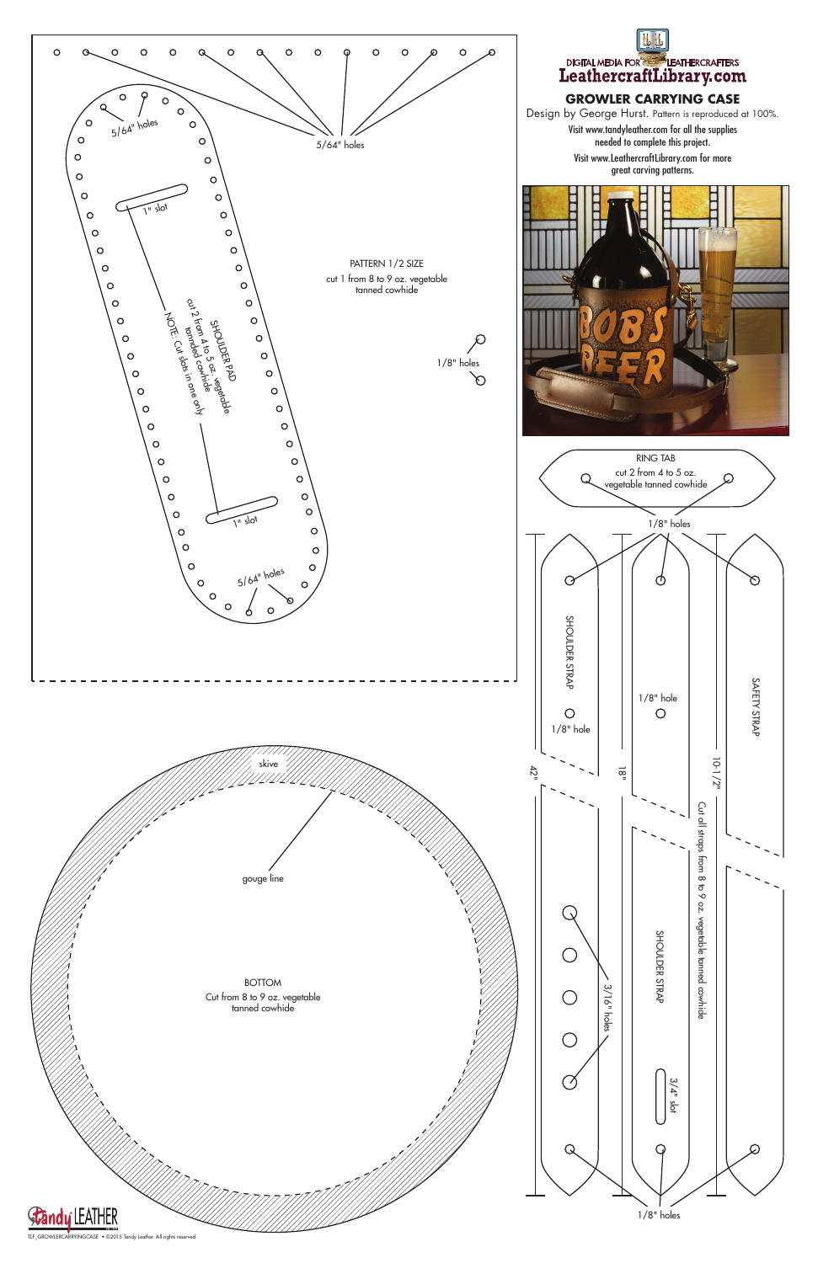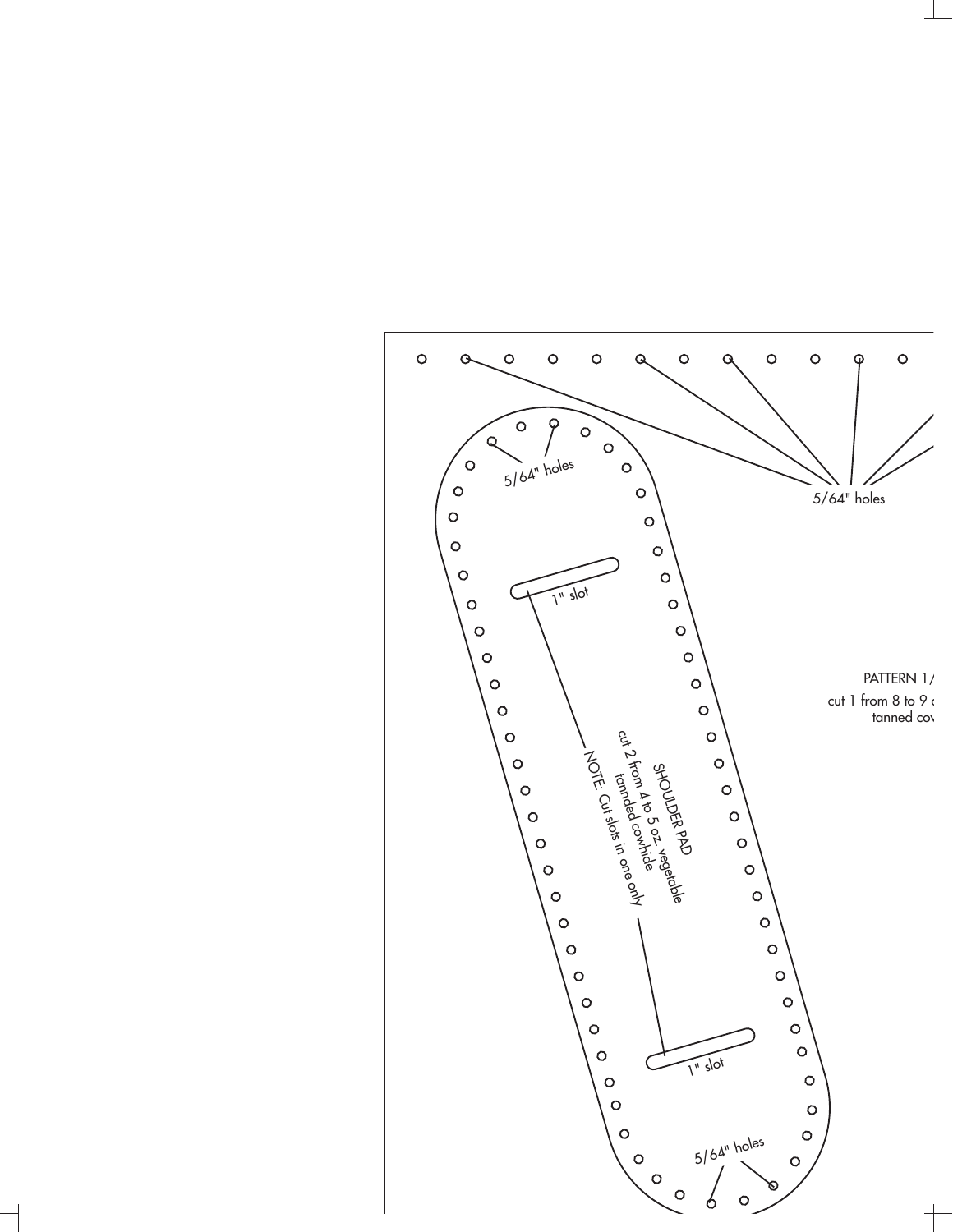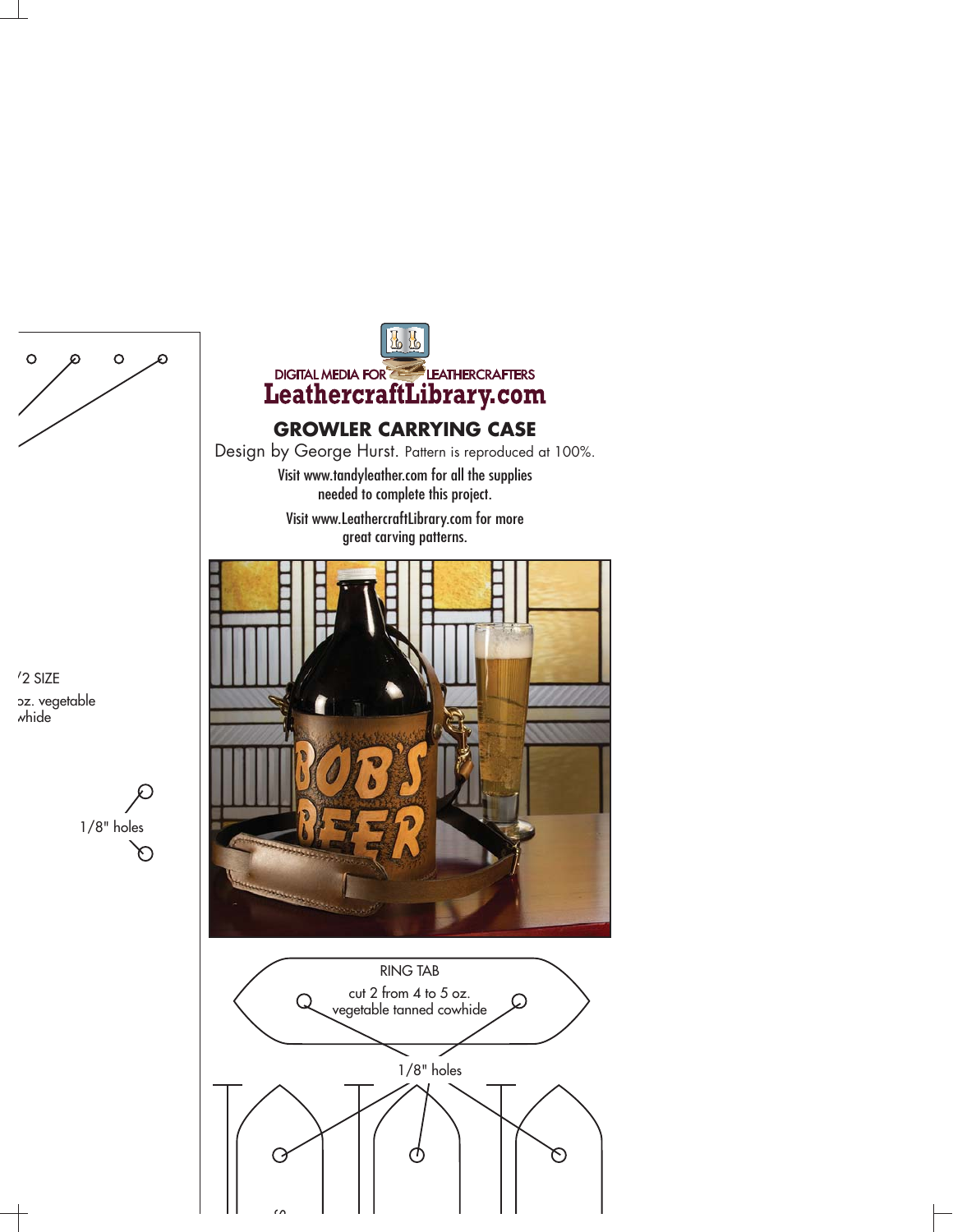

/2 SIZE oz. vegetable whide





## **GROWLER CARRYING CASE**

Design by George Hurst. Pattern is reproduced at 100%. Visit www.tandyleather.com for all the supplies needed to complete this project. Visit www.LeathercraftLibrary.com for more



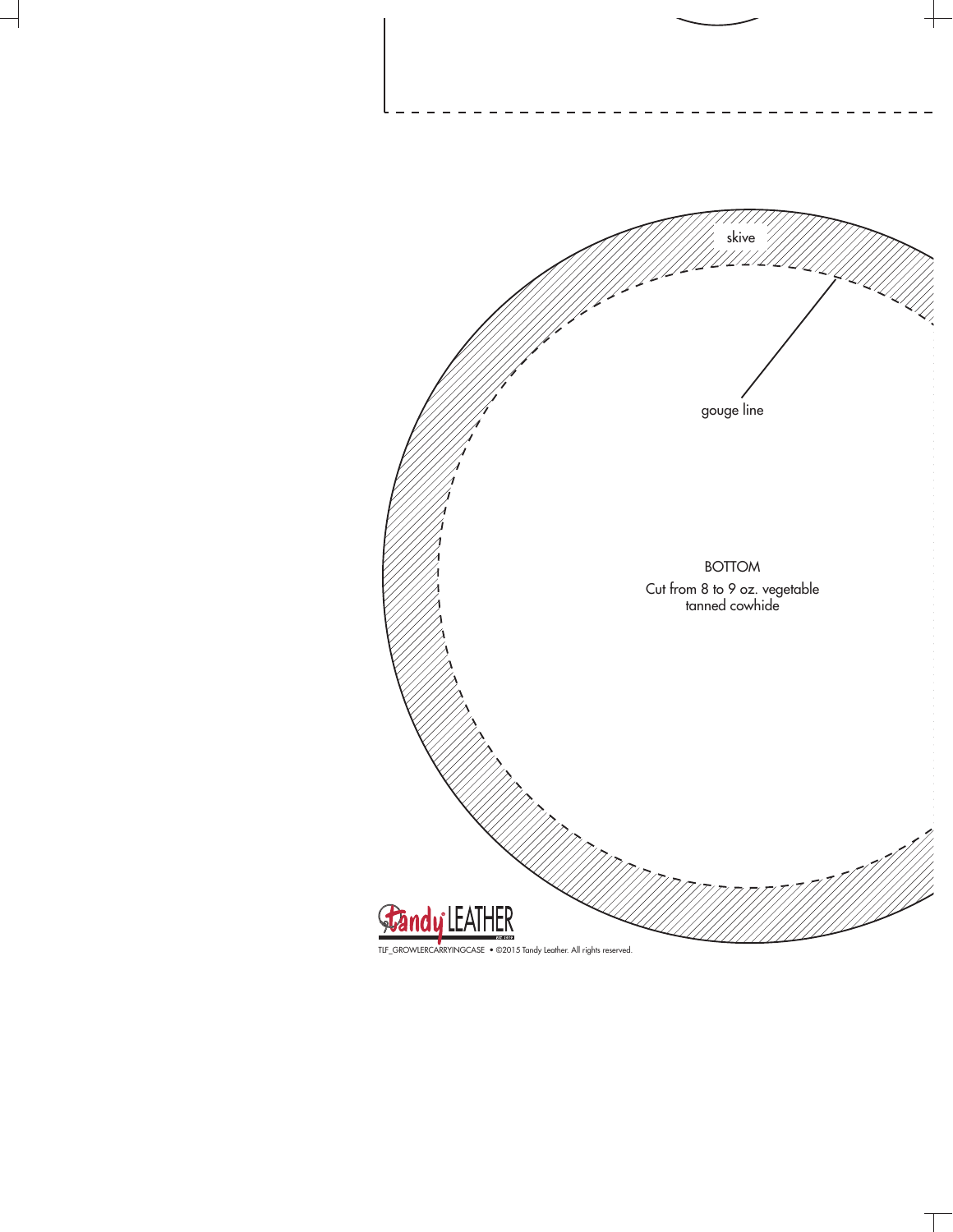

TLF\_GROWLERCARRYINGCASE • ©2015 Tandy Leather. All rights reserved.